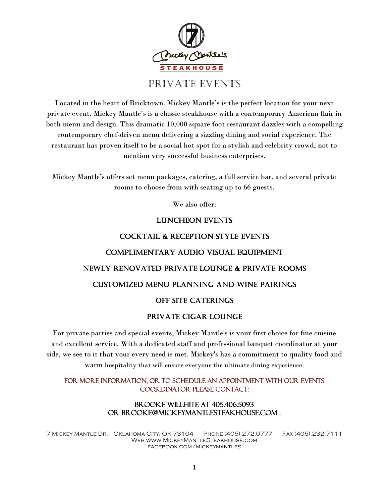

Located in the heart of Bricktown, Mickey Mantle's is the perfect location for your next private event. Mickey Mantle's is a classic steakhouse with a contemporary American flair in both menu and design. This dramatic 10,000 square foot restaurant dazzles with a compelling contemporary chef-driven menu delivering a sizzling dining and social experience. The restaurant has proven itself to be a social hot spot for a stylish and celebrity crowd, not to mention very successful business enterprises.

Mickey Mantle's offers set menu packages, catering, a full service bar, and several private rooms to choose from with seating up to 66 guests.

We also offer:

### Luncheon events

# Cocktail & Reception Style events Complimentary Audio Visual Equipment Newly Renovated Private Lounge & Private Rooms Customized Menu Planning and Wine Pairings OFF SITE CATERINGS

### Private cigar lounge

For private parties and special events, Mickey Mantle's is your first choice for fine cuisine and excellent service. With a dedicated staff and professional banquet coordinator at your side, we see to it that your every need is met. Mickey's has a commitment to quality food and warm hospitality that will ensure everyone the ultimate dining experience.

### For more information, or to schedule an appointment with our Events Coordinator please contact:

### Brooke Willhite at 405.406.5093 or Brooke@MickeyMantleSteakhouse.com .

7 Mickey Mantle Dr. - Oklahoma City, OK 73104 - Phone (405).272.0777 - Fax (405).232.7111 Web www.MickeyMantleSteakhouse.com facebook.com/mickeymantles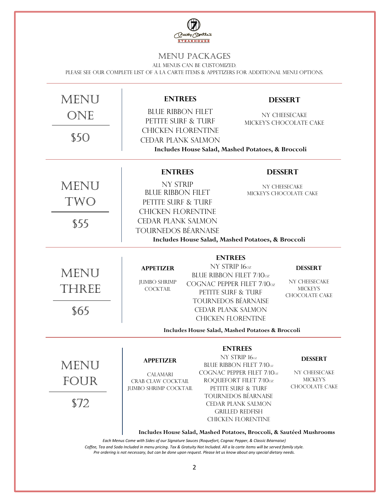

### Menu Packages

All menus can be customized.

Please see our complete list of a la carte items & appetizers for additional menu options.

| MENU<br>ONE                                                                                                                                                                                                                                                                                                 | <b>ENTREES</b><br><b>BLUE RIBBON FILET</b><br>PETITE SURF & TURF                                             |                                                                                                      | <b>DESSERT</b><br>NY CHEESECAKE<br>MICKEY'S CHOCOLATE CAKE                  |  |  |
|-------------------------------------------------------------------------------------------------------------------------------------------------------------------------------------------------------------------------------------------------------------------------------------------------------------|--------------------------------------------------------------------------------------------------------------|------------------------------------------------------------------------------------------------------|-----------------------------------------------------------------------------|--|--|
| S50                                                                                                                                                                                                                                                                                                         | <b>CHICKEN FLORENTINE</b><br><b>CEDAR PLANK SALMON</b><br>Includes House Salad, Mashed Potatoes, & Broccoli  |                                                                                                      |                                                                             |  |  |
|                                                                                                                                                                                                                                                                                                             | <b>ENTREES</b>                                                                                               |                                                                                                      | <b>DESSERT</b>                                                              |  |  |
| MENU<br>TWO                                                                                                                                                                                                                                                                                                 | <b>NY STRIP</b><br><b>BLUE RIBBON FILET</b><br>PETITE SURF & TURF<br><b>CHICKEN FLORENTINE</b>               |                                                                                                      | NY CHEESECAKE<br>MICKEY'S CHOCOLATE CAKE                                    |  |  |
| \$55                                                                                                                                                                                                                                                                                                        | <b>CEDAR PLANK SALMON</b><br><b>TOURNEDOS BÉARNAISE</b><br>Includes House Salad, Mashed Potatoes, & Broccoli |                                                                                                      |                                                                             |  |  |
| <b>ENTREES</b>                                                                                                                                                                                                                                                                                              |                                                                                                              |                                                                                                      |                                                                             |  |  |
| MENU<br>THREE                                                                                                                                                                                                                                                                                               | <b>APPETIZER</b><br><b>JUMBO SHRIMP</b><br><b>COCKTAIL</b>                                                   | NY STRIP 160z<br><b>BLUE RIBBON FILET 7/10oz</b><br>COGNAC PEPPER FILET 7/10oz<br>PETITE SURF & TURF | <b>DESSERT</b><br>NY CHEESECAKE<br><b>MICKEY'S</b><br><b>CHOCOLATE CAKE</b> |  |  |
| \$65                                                                                                                                                                                                                                                                                                        | <b>TOURNEDOS BÉARNAISE</b><br><b>CEDAR PLANK SALMON</b><br><b>CHICKEN FLORENTINE</b>                         |                                                                                                      |                                                                             |  |  |
|                                                                                                                                                                                                                                                                                                             |                                                                                                              | Includes House Salad, Mashed Potatoes & Broccoli                                                     |                                                                             |  |  |
| MENL                                                                                                                                                                                                                                                                                                        | <b>APPETIZER</b><br><b>CALAMARI</b>                                                                          | <b>ENTREES</b><br>NY STRIP 160z<br>BLUE RIBBON FILET 7/10oz<br>COGNAC PEPPER FILET 7/10oz            | <b>DESSERT</b><br>NY CHEESECAKE                                             |  |  |
| FOUR                                                                                                                                                                                                                                                                                                        | CRAB CLAW COCKTAIL<br><b>JUMBO SHRIMP COCKTAIL</b>                                                           | ROQUEFORT FILET 7/10oz<br>PETITE SURF & TURF<br><b>TOURNEDOS BÉARNAISE</b>                           | <b>MICKEY'S</b><br><b>CHOCOLATE CAKE</b>                                    |  |  |
| \$72                                                                                                                                                                                                                                                                                                        |                                                                                                              | CEDAR PLANK SALMON<br><b>GRILLED REDFISH</b><br><b>CHICKEN FLORENTINE</b>                            |                                                                             |  |  |
| Includes House Salad, Mashed Potatoes, Broccoli, & Sautéed Mushrooms<br>Each Menus Come with Sides of our Signature Sauces (Roquefort, Cognac Pepper, & Classic Béarnaise)<br>Coffee, Tea and Soda Included in menu pricing. Tax & Gratuity Not Included. All a la carte items will be served family style. |                                                                                                              |                                                                                                      |                                                                             |  |  |

*Pre ordering is not necessary, but can be done upon request. Please let us know about any special dietary needs.*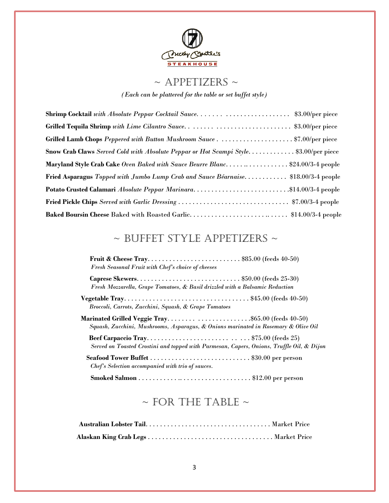

# $\sim$  APPETIZERS  $\sim$

*(Each can be plattered for the table or set buffet style)* 

| Shrimp Cocktail with Absolute Peppar Cocktail Sauce\$3.00/per piece                  |  |
|--------------------------------------------------------------------------------------|--|
| Grilled Tequila Shrimp with Lime Cilantro Sauce\$3.00/per piece                      |  |
|                                                                                      |  |
| Snow Crab Claws Served Cold with Absolute Peppar or Hot Scampi Style\$3.00/per piece |  |
| Maryland Style Crab Cake Oven Baked with Sauce Beurre Blanc\$24.00/3-4 people        |  |
| Fried Asparagus Topped with Jumbo Lump Crab and Sauce Béarnaise \$18.00/3-4 people   |  |
| Potato Crusted Calamari Absolute Peppar Marinara\$14.00/3-4 people                   |  |
|                                                                                      |  |
| Baked Boursin Cheese Baked with Roasted Garlic\$14.00/3-4 people                     |  |

# $\sim$  BUFFET STYLE APPETIZERS  $\sim$

| Fruit & Cheese Tray\$85.00 (feeds $40-50$ )<br>Fresh Seasonal Fruit with Chef's choice of cheeses                    |
|----------------------------------------------------------------------------------------------------------------------|
| Caprese Skewers\$50.00 (feeds 25-30)<br>Fresh Mozzarella, Grape Tomatoes, & Basil drizzled with a Balsamic Reduction |
| Broccoli, Carrots, Zucchini, Squash, & Grape Tomatoes                                                                |
| Squash, Zucchini, Mushrooms, Asparagus, & Onions marinated in Rosemary & Olive Oil                                   |
| Served on Toasted Crostini and topped with Parmesan, Capers, Onions, Truffle Oil, & Dijon                            |
| Seafood Tower Buffet \$30.00 per person<br>Chef's Selection accompanied with trio of sauces.                         |
|                                                                                                                      |

# $\sim$  FOR THE TABLE  $\sim$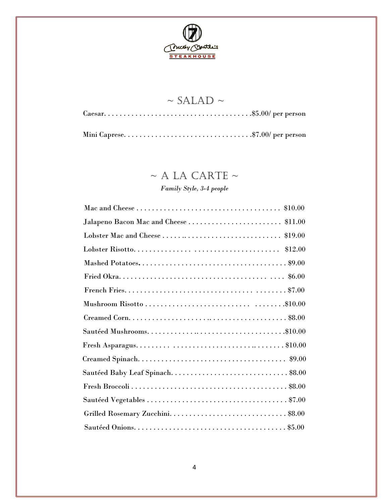

# $\sim$  SALAD  $\sim$ Caesar. . . . . . . . . . . . . . . . . . . . . . . . . . . . . . . . . . . . . .\$5.00/ per person Mini Caprese. . . . . . . . . . . . . . . . . . . . . . . . . . . . . . . . .\$7.00/ per person

# $~\sim$  A LA CARTE  $~\sim$

### *Family Style, 3-4 people*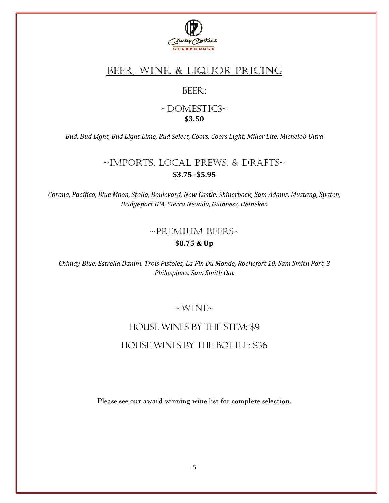

# BEER, WINE, & LIQUOR PRICING

### BEER:

### ~DOMESTICS~ **\$3.50**

*Bud, Bud Light, Bud Light Lime, Bud Select, Coors, Coors Light, Miller Lite, Michelob Ultra*

## ~Imports, Local Brews, & Drafts~ **\$3.75 -\$5.95**

*Corona, Pacifico, Blue Moon, Stella, Boulevard, New Castle, Shinerbock, Sam Adams, Mustang, Spaten, Bridgeport IPA, Sierra Nevada, Guinness, Heineken*

# ~Premium Beers~ **\$8.75 & Up**

*Chimay Blue, Estrella Damm, Trois Pistoles, La Fin Du Monde, Rochefort 10, Sam Smith Port, 3 Philosphers, Sam Smith Oat*

### $\sim$ WINE $\sim$

# House Wines by the Stem: \$9 House Wines by the Bottle: \$36

Please see our award winning wine list for complete selection.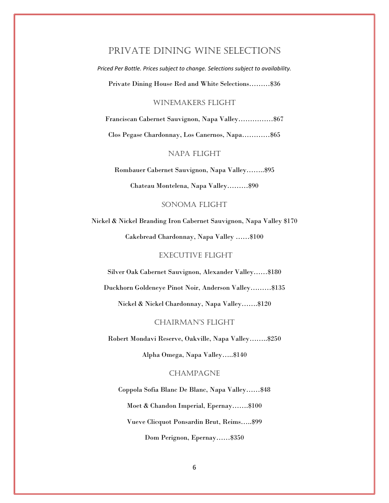### Private Dining Wine Selections

*Priced Per Bottle. Prices subject to change. Selections subject to availability.* 

Private Dining House Red and White Selections………\$36

#### WINEMAKERS FLIGHT

Franciscan Cabernet Sauvignon, Napa Valley……………\$67

Clos Pegase Chardonnay, Los Canernos, Napa…………\$65

### NAPA FLIGHT

Rombauer Cabernet Sauvignon, Napa Valley……..\$95

Chateau Montelena, Napa Valley………\$90

#### SONOMA FLIGHT

Nickel & Nickel Branding Iron Cabernet Sauvignon, Napa Valley \$170

Cakebread Chardonnay, Napa Valley ……\$100

#### EXECUTIVE FLIGHT

Silver Oak Cabernet Sauvignon, Alexander Valley……\$180

Duckhorn Goldeneye Pinot Noir, Anderson Valley………\$135

Nickel & Nickel Chardonnay, Napa Valley…….\$120

#### CHAIRMAN'S FLIGHT

Robert Mondavi Reserve, Oakville, Napa Valley……..\$250

Alpha Omega, Napa Valley…..\$140

#### CHAMPAGNE

Coppola Sofia Blanc De Blanc, Napa Valley……\$48 Moet & Chandon Imperial, Epernay…….\$100 Vueve Clicquot Ponsardin Brut, Reims…..\$99 Dom Perignon, Epernay……\$350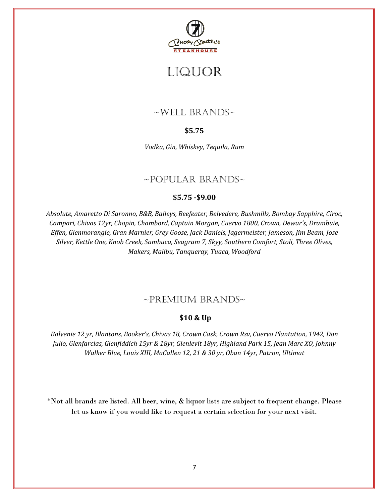

# LIQUOR

## $\sim$ WELL BRANDS $\sim$

### **\$5.75**

*Vodka, Gin, Whiskey, Tequila, Rum*

### $~\sim$ POPULAR BRANDS $\sim$

### **\$5.75 -\$9.00**

*Absolute, Amaretto Di Saronno, B&B, Baileys, Beefeater, Belvedere, Bushmills, Bombay Sapphire, Ciroc, Campari, Chivas 12yr, Chopin, Chambord, Captain Morgan, Cuervo 1800, Crown, Dewar's, Drambuie, Effen, Glenmorangie, Gran Marnier, Grey Goose, Jack Daniels, Jagermeister, Jameson, Jim Beam, Jose Silver, Kettle One, Knob Creek, Sambuca, Seagram 7, Skyy, Southern Comfort, Stoli, Three Olives, Makers, Malibu, Tanqueray, Tuaca, Woodford*

### ~Premium Brands~

### **\$10 & Up**

*Balvenie 12 yr, Blantons, Booker's, Chivas 18, Crown Cask, Crown Rsv, Cuervo Plantation, 1942, Don Julio, Glenfarcias, Glenfiddich 15yr & 18yr, Glenlevit 18yr, Highland Park 15, Jean Marc XO, Johnny Walker Blue, Louis XIII, MaCallen 12, 21 & 30 yr, Oban 14yr, Patron, Ultimat*

\*Not all brands are listed. All beer, wine, & liquor lists are subject to frequent change. Please let us know if you would like to request a certain selection for your next visit.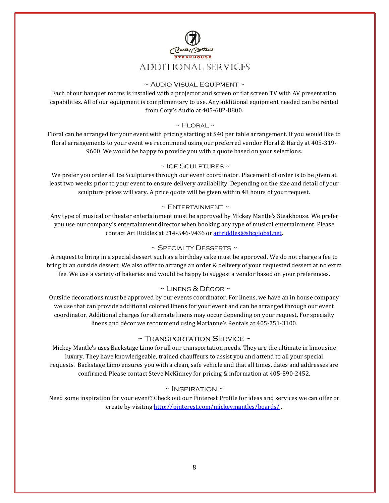

### ~ Audio Visual Equipment ~

Each of our banquet rooms is installed with a projector and screen or flat screen TV with AV presentation capabilities. All of our equipment is complimentary to use. Any additional equipment needed can be rented from Cory's Audio at 405-682-8800.

#### $~\sim$  FLORAL  $~\sim$

Floral can be arranged for your event with pricing starting at \$40 per table arrangement. If you would like to floral arrangements to your event we recommend using our preferred vendor Floral & Hardy at 405-319- 9600. We would be happy to provide you with a quote based on your selections.

#### ~ Ice Sculptures ~

We prefer you order all Ice Sculptures through our event coordinator. Placement of order is to be given at least two weeks prior to your event to ensure delivery availability. Depending on the size and detail of your sculpture prices will vary. A price quote will be given within 48 hours of your request.

#### $\sim$  ENTERTAINMENT  $\sim$

Any type of musical or theater entertainment must be approved by Mickey Mantle's Steakhouse. We prefer you use our company's entertainment director when booking any type of musical entertainment. Please contact Art Riddles at 214-546-9436 o[r artriddles@sbcglobal.net.](mailto:artriddles@sbcglobal.net) 

#### ~ Specialty Desserts ~

A request to bring in a special dessert such as a birthday cake must be approved. We do not charge a fee to bring in an outside dessert. We also offer to arrange an order & delivery of your requested dessert at no extra fee. We use a variety of bakeries and would be happy to suggest a vendor based on your preferences.

#### ~ Linens & Décor ~

Outside decorations must be approved by our events coordinator. For linens, we have an in house company we use that can provide additional colored linens for your event and can be arranged through our event coordinator. Additional charges for alternate linens may occur depending on your request. For specialty linens and décor we recommend using Marianne's Rentals at 405-751-3100.

### ~ Transportation Service ~

Mickey Mantle's uses Backstage Limo for all our transportation needs. They are the ultimate in limousine luxury. They have knowledgeable, trained chauffeurs to assist you and attend to all your special requests. Backstage Limo ensures you with a clean, safe vehicle and that all times, dates and addresses are confirmed. Please contact Steve McKinney for pricing & information at 405-590-2452.

#### $\sim$  INSPIRATION  $\sim$

Need some inspiration for your event? Check out our Pinterest Profile for ideas and services we can offer or create by visiting<http://pinterest.com/mickeymantles/boards/>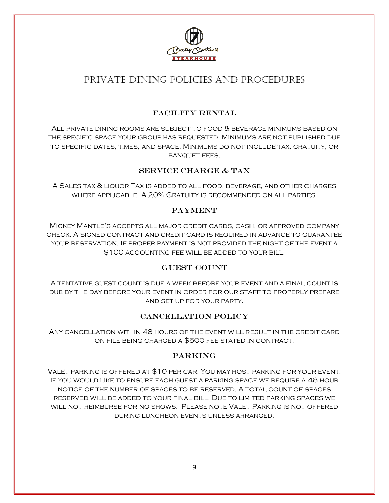

# Private Dining Policies and Procedures

### Facility Rental

All private dining rooms are subject to food & beverage minimums based on the specific space your group has requested. Minimums are not published due to specific dates, times, and space. Minimums do not include tax, gratuity, or banquet fees.

### SERVICE CHARGE & TAX

A Sales tax & liquor Tax is added to all food, beverage, and other charges where applicable. A 20% Gratuity is recommended on all parties.

### **PAYMENT**

Mickey Mantle's accepts all major credit cards, cash, or approved company check. A signed contract and credit card is required in advance to guarantee your reservation. If proper payment is not provided the night of the event a \$100 accounting fee will be added to your bill.

#### **GUEST COUNT**

A tentative guest count is due a week before your event and a final count is due by the day before your event in order for our staff to properly prepare and set up for your party.

### Cancellation Policy

Any cancellation within 48 hours of the event will result in the credit card on file being charged a \$500 fee stated in contract.

### Parking

Valet parking is offered at \$10 per car. You may host parking for your event. If you would like to ensure each guest a parking space we require a 48 hour notice of the number of spaces to be reserved. A total count of spaces reserved will be added to your final bill. Due to limited parking spaces we will not reimburse for no shows. Please note Valet Parking is not offered during luncheon events unless arranged.